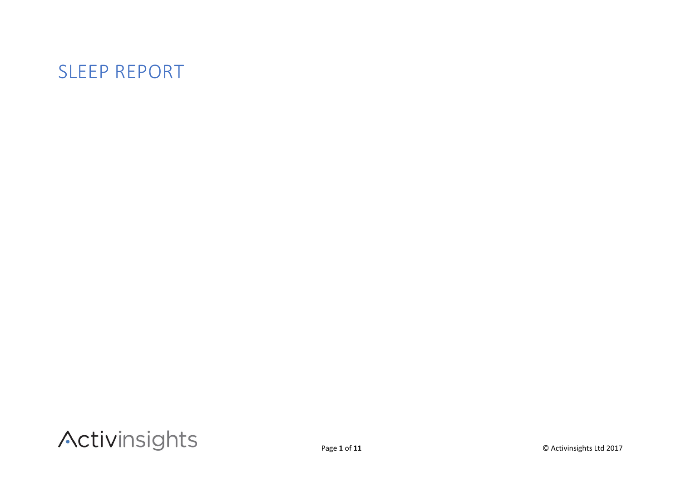#### SLEEP REPORT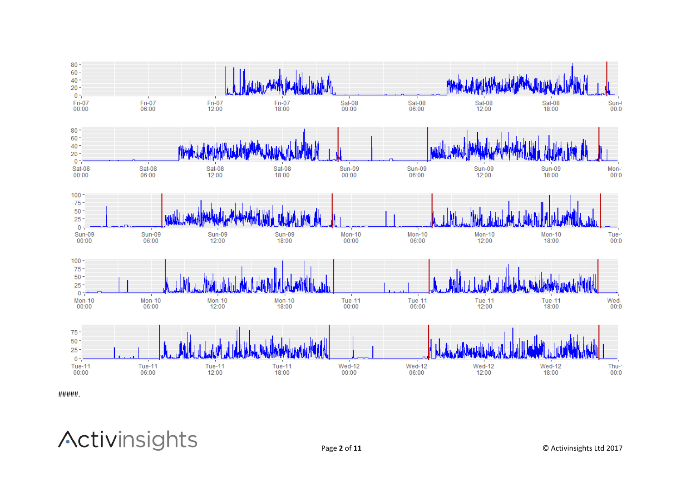

#####.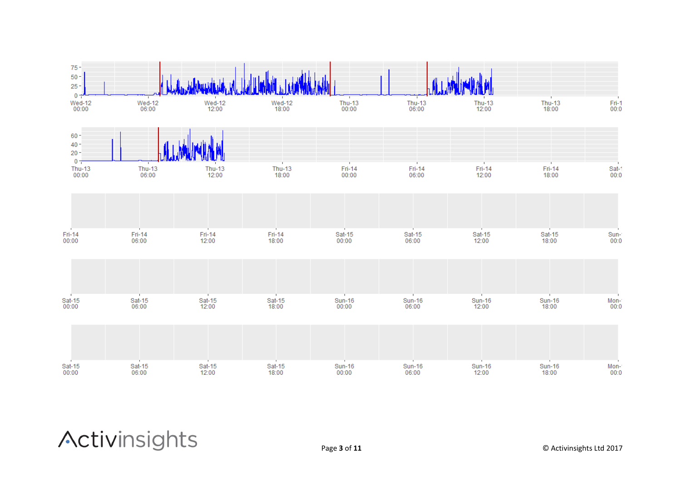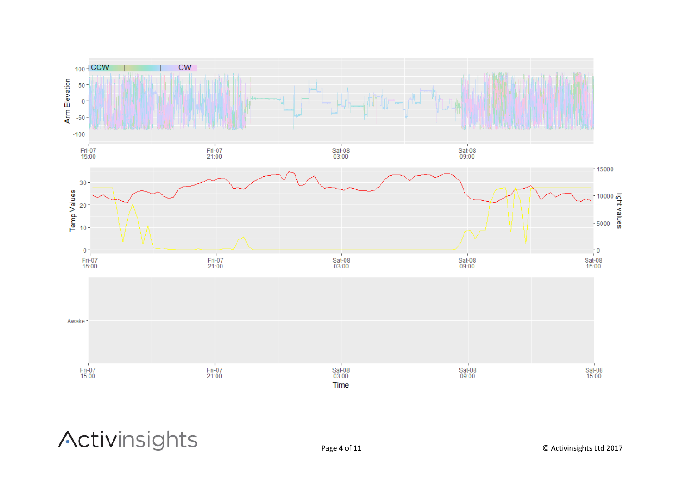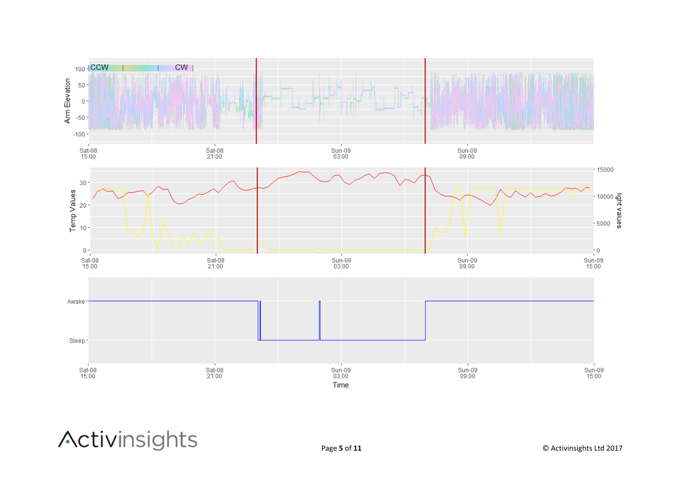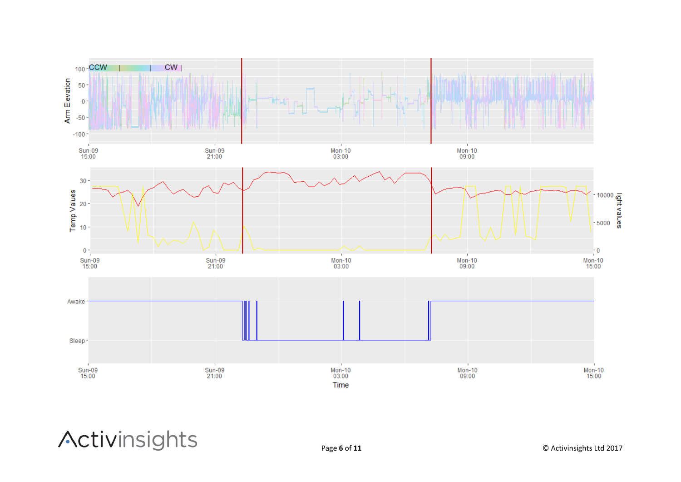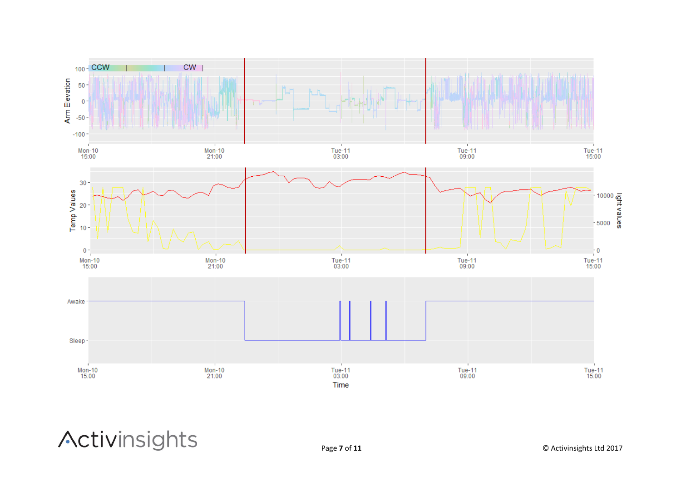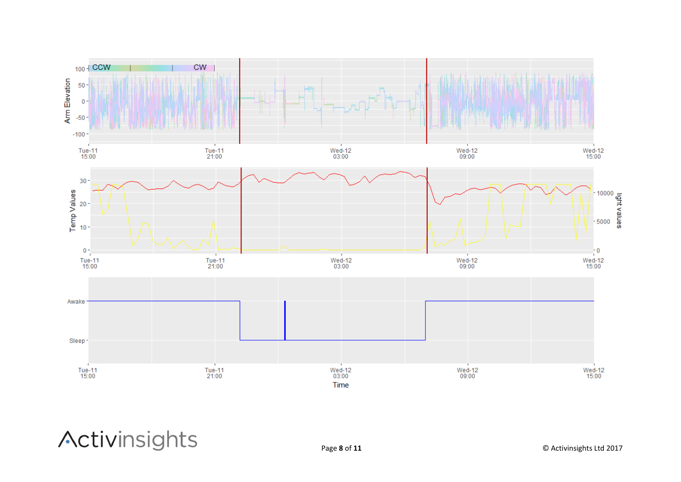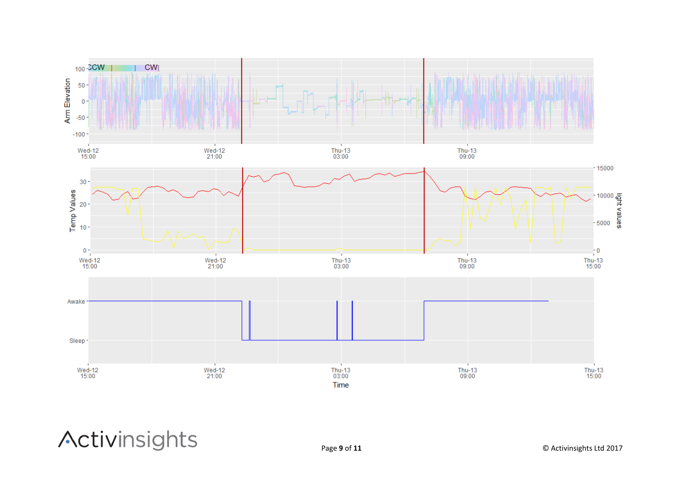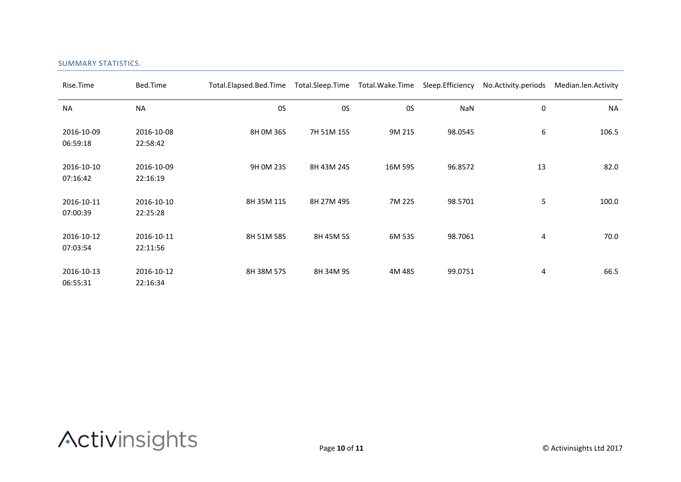#### SUMMARY STATISTICS.

| Rise.Time              | Bed.Time               | Total.Elapsed.Bed.Time Total.Sleep.Time Total.Wake.Time Sleep.Efficiency No.Activity.periods |            |         |         |    | Median.len.Activity |
|------------------------|------------------------|----------------------------------------------------------------------------------------------|------------|---------|---------|----|---------------------|
| <b>NA</b>              | <b>NA</b>              | 0S                                                                                           | OS         | OS      | NaN     | 0  | <b>NA</b>           |
| 2016-10-09<br>06:59:18 | 2016-10-08<br>22:58:42 | 8H 0M 36S                                                                                    | 7H 51M 15S | 9M 21S  | 98.0545 | 6  | 106.5               |
| 2016-10-10<br>07:16:42 | 2016-10-09<br>22:16:19 | 9H 0M 23S                                                                                    | 8H 43M 24S | 16M 59S | 96.8572 | 13 | 82.0                |
| 2016-10-11<br>07:00:39 | 2016-10-10<br>22:25:28 | 8H 35M 11S                                                                                   | 8H 27M 49S | 7M 22S  | 98.5701 | 5  | 100.0               |
| 2016-10-12<br>07:03:54 | 2016-10-11<br>22:11:56 | 8H 51M 58S                                                                                   | 8H 45M 5S  | 6M 53S  | 98.7061 | 4  | 70.0                |
| 2016-10-13<br>06:55:31 | 2016-10-12<br>22:16:34 | 8H 38M 57S                                                                                   | 8H 34M 9S  | 4M 48S  | 99.0751 | 4  | 66.5                |